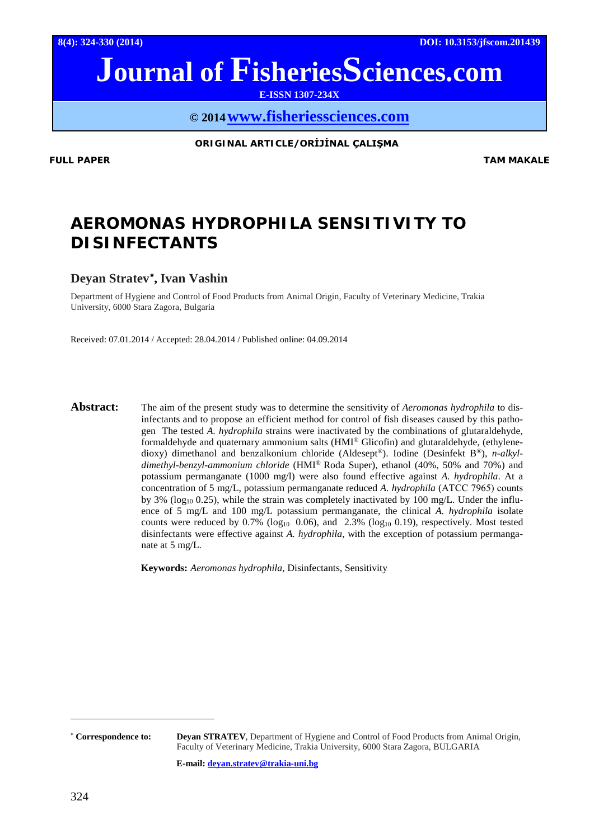**8(4): 324-330 (2014) DOI: 10.3153/jfscom.201439**

# **Journal of FisheriesSciences.com**

**E-ISSN 1307-234X**

**© 201[4www.fisheriessciences.com](http://www.fisheriessciences.com/)**

**ORIGINAL ARTICLE/ORİJİNAL ÇALIŞMA**

**FULL PAPER TAM MAKALE**

## *AEROMONAS HYDROPHILA* **SENSITIVITY TO DISINFECTANTS**

## **Deyan Stratev**[∗](#page-0-0) **, Ivan Vashin**

Department of Hygiene and Control of Food Products from Animal Origin, Faculty of Veterinary Medicine, Trakia University, 6000 Stara Zagora, Bulgaria

Received: 07.01.2014 / Accepted: 28.04.2014 / Published online: 04.09.2014

**Abstract:** The aim of the present study was to determine the sensitivity of *Aeromonas hydrophila* to disinfectants and to propose an efficient method for control of fish diseases caused by this pathogen The tested *A. hydrophila* strains were inactivated by the combinations of glutaraldehyde, formaldehyde and quaternary ammonium salts (HMI® Glicofin) and glutaraldehyde, (ethylenedioxy) dimethanol and benzalkonium chloride (Aldesept®). Iodine (Desinfekt B®), *n-alkyldimethyl-benzyl-ammonium chloride* (HMI® Roda Super), ethanol (40%, 50% and 70%) and potassium permanganate (1000 mg/l) were also found effective against *A. hydrophila*. At a concentration of 5 mg/L, potassium permanganate reduced *A. hydrophila* (АTCC 7965) counts by 3% ( $log_{10}$  0.25), while the strain was completely inactivated by 100 mg/L. Under the influence of 5 mg/L and 100 mg/L potassium permanganate, the clinical *A. hydrophila* isolate counts were reduced by  $0.7\%$  (log<sub>10</sub> 0.06), and 2.3% (log<sub>10</sub> 0.19), respectively. Most tested disinfectants were effective against *A. hydrophila*, with the exception of potassium permanganate at 5 mg/L.

**Keywords:** *Aeromonas hydrophila*, Disinfectants, Sensitivity

**E-mail: [deyan.stratev@trakia-uni.bg](mailto:deyan.stratev@trakia-uni.bg)**

 $\overline{a}$ 

<span id="page-0-0"></span><sup>∗</sup> **Correspondence to: Deyan STRATEV**, Department of Hygiene and Control of Food Products from Animal Origin, Faculty of Veterinary Medicine, Trakia University, 6000 Stara Zagora, BULGARIA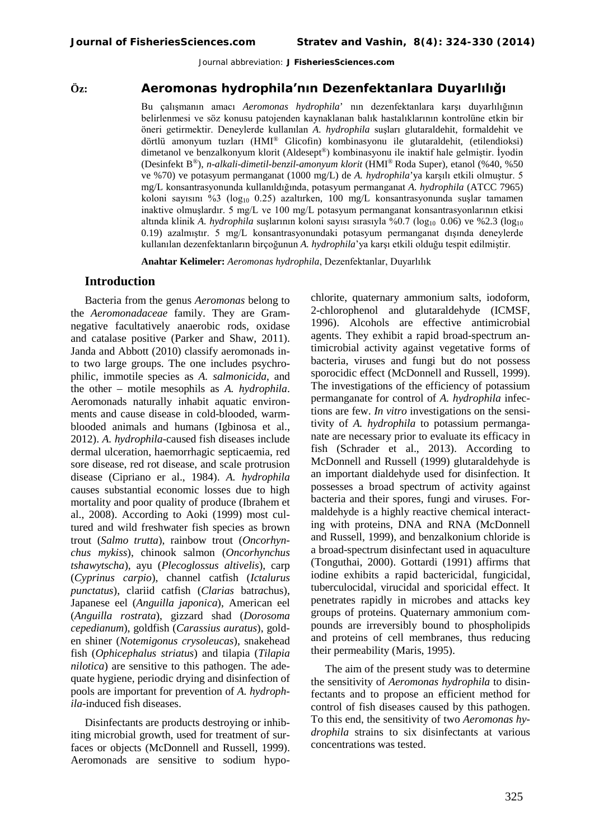#### **Öz:** *Aeromonas hydrophila***'nın Dezenfektanlara Duyarlılığı**

Bu çalışmanın amacı *Aeromonas hydrophila*' nın dezenfektanlara karşı duyarlılığının belirlenmesi ve söz konusu patojenden kaynaklanan balık hastalıklarının kontrolüne etkin bir öneri getirmektir. Deneylerde kullanılan *A. hydrophila* suşları glutaraldehit, formaldehit ve dörtlü amonyum tuzları (HMI® Glicofin) kombinasyonu ile glutaraldehit, (etilendioksi) dimetanol ve benzalkonyum klorit (Aldesept®) kombinasyonu ile inaktif hale gelmiştir. İyodin (Desinfekt B®), *n-alkali-dimetil-benzil-amonyum klorit* (HMI® Roda Super), etanol (%40, %50 ve %70) ve potasyum permanganat (1000 mg/L) de *A. hydrophila*'ya karşılı etkili olmuştur. 5 mg/L konsantrasyonunda kullanıldığında, potasyum permanganat *A. hydrophila* (ATCC 7965) koloni sayısını %3 ( $log_{10}$  0.25) azaltırken, 100 mg/L konsantrasyonunda suslar tamamen inaktive olmuşlardır. 5 mg/L ve 100 mg/L potasyum permanganat konsantrasyonlarının etkisi altında klinik *A. hydrophila* suşlarının koloni sayısı sırasıyla %0.7 (log<sub>10</sub> 0.06) ve %2.3 (log<sub>10</sub>) 0.19) azalmıştır. 5 mg/L konsantrasyonundaki potasyum permanganat dışında deneylerde kullanılan dezenfektanların birçoğunun *A. hydrophila*'ya karşı etkili olduğu tespit edilmiştir.

**Anahtar Kelimeler:** *Aeromonas hydrophila*, Dezenfektanlar, Duyarlılık

#### **Introduction**

Bacteria from the genus *Aeromonas* belong to the *Aeromonadaceae* family. They are Gramnegative facultatively anaerobic rods, oxidase and catalase positive (Parker and Shaw, 2011). Janda and Abbott (2010) classify aeromonads into two large groups. The one includes psychrophilic, immotile species as *A. salmonicida*, and the other – motile mesophils as *A. hydrophila*. Aeromonads naturally inhabit aquatic environments and cause disease in cold-blooded, warmblooded animals and humans (Igbinosa et al., 2012). *A. hydrophila-*caused fish diseases include dermal ulceration, haemorrhagic septicaemia, red sore disease, red rot disease, and scale protrusion disease (Cipriano er al., 1984). *A. hydrophila*  causes substantial economic losses due to high mortality and poor quality of produce (Ibrahem et al., 2008). According to Aoki (1999) most cultured and wild freshwater fish species as brown trout (*Salmo trutta*), rainbow trout (*Oncorhynchus mykiss*), chinook salmon (*Oncorhynchus tshawytscha*), ayu (*Plecoglossus altivelis*), carp (*Cyprinus carpio*), channel catfish (*Ictalurus punctatus*), clariid catfish (*Clarias* batr*a*chus), Japanese eel (*Anguilla japonica*), American eel (*Anguilla rostrata*), gizzard shad (*Dorosoma cepedianum*), goldfish (*Carassius auratus*), golden shiner (*Notemigonus crysoleucas*), snakehead fish (*Ophicephalus striatus*) and tilapia (*Tilapia nilotica*) are sensitive to this pathogen. The adequate hygiene, periodic drying and disinfection of pools are important for prevention of *A. hydrophila-*induced fish diseases.

Disinfectants are products destroying or inhibiting microbial growth, used for treatment of surfaces or objects (McDonnell and Russell, 1999). Aeromonads are sensitive to sodium hypochlorite, quaternary ammonium salts, iodoform, 2-chlorophenol and glutaraldehyde (ICMSF, 1996). Alcohols are effective antimicrobial agents. They exhibit a rapid broad-spectrum antimicrobial activity against vegetative forms of bacteria, viruses and fungi but do not possess sporocidic effect (McDonnell and Russell, 1999). The investigations of the efficiency of potassium permanganate for control of *A. hydrophila* infections are few. *In vitro* investigations on the sensitivity of *A. hydrophila* to potassium permanganate are necessary prior to evaluate its efficacy in fish (Schrader et al., 2013). According to McDonnell and Russell (1999) glutaraldehyde is an important dialdehyde used for disinfection. It possesses a broad spectrum of activity against bacteria and their spores, fungi and viruses. Formaldehyde is a highly reactive chemical interacting with proteins, DNA and RNA (McDonnell and Russell, 1999), and benzalkonium chloride is a broad-spectrum disinfectant used in aquaculture (Tonguthai, 2000). Gottardi (1991) affirms that iodine exhibits a rapid bactericidal, fungicidal, tuberculocidal, virucidal and sporicidal effect. It penetrates rapidly in microbes and attacks key groups of proteins. Quaternary ammonium compounds are irreversibly bound to phospholipids and proteins of cell membranes, thus reducing their permeability (Maris, 1995).

The aim of the present study was to determine the sensitivity of *Aeromonas hydrophila* to disinfectants and to propose an efficient method for control of fish diseases caused by this pathogen. To this end, the sensitivity of two *Aeromonas hydrophila* strains to six disinfectants at various concentrations was tested.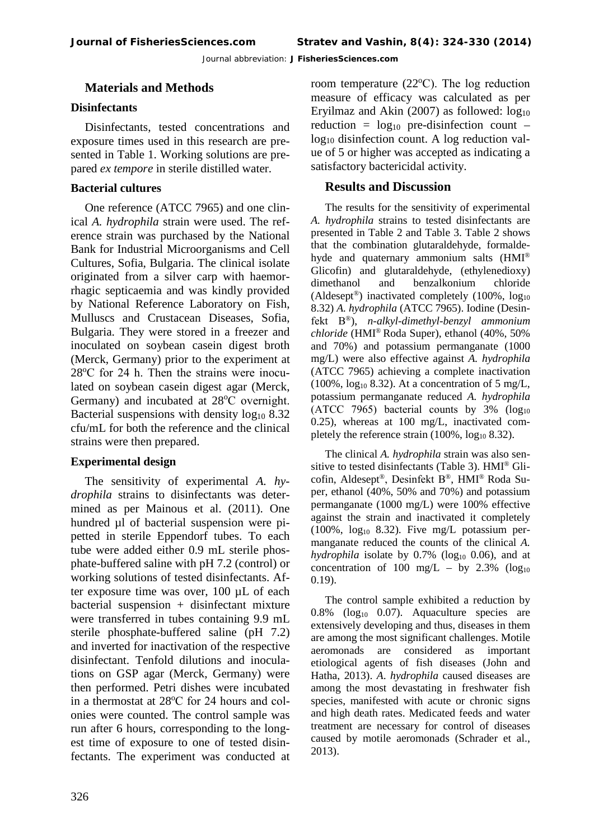### **Materials and Methods**

#### **Disinfectants**

Disinfectants, tested concentrations and exposure times used in this research are presented in Table 1. Working solutions are prepared *ex tempore* in sterile distilled water.

#### **Bacterial cultures**

One reference (ATCC 7965) and one clinical *A. hydrophila* strain were used. The reference strain was purchased by the National Bank for Industrial Microorganisms and Cell Cultures, Sofia, Bulgaria. The clinical isolate originated from a silver carp with haemorrhagic septicaemia and was kindly provided by National Reference Laboratory on Fish, Mulluscs and Crustacean Diseases, Sofia, Bulgaria. They were stored in a freezer and inoculated on soybean casein digest broth (Merck, Germany) prior to the experiment at 28°C for 24 h. Then the strains were inoculated on soybean casein digest agar (Merck, Germany) and incubated at 28°C overnight. Bacterial suspensions with density  $log_{10} 8.32$ cfu/mL for both the reference and the clinical strains were then prepared.

#### **Experimental design**

The sensitivity of experimental *A. hydrophila* strains to disinfectants was determined as per Mainous et al. (2011). One hundred µl of bacterial suspension were pipetted in sterile Eppendorf tubes. To each tube were added either 0.9 mL sterile phosphate-buffered saline with pH 7.2 (control) or working solutions of tested disinfectants. After exposure time was over, 100 µL of each  $bacterial$  suspension + disinfectant mixture were transferred in tubes containing 9.9 mL sterile phosphate-buffered saline (pH 7.2) and inverted for inactivation of the respective disinfectant. Tenfold dilutions and inoculations on GSP agar (Merck, Germany) were then performed. Petri dishes were incubated in a thermostat at 28°C for 24 hours and colonies were counted. The control sample was run after 6 hours, corresponding to the longest time of exposure to one of tested disinfectants. The experiment was conducted at

room temperature  $(22^{\circ}C)$ . The log reduction measure of efficacy was calculated as per Eryilmaz and Akin  $(2007)$  as followed:  $log_{10}$ reduction =  $log_{10}$  pre-disinfection count – log10 disinfection count. A log reduction value of 5 or higher was accepted as indicating a satisfactory bactericidal activity.

### **Results and Discussion**

The results for the sensitivity of experimental *A. hydrophila* strains to tested disinfectants are presented in Table 2 and Table 3. Table 2 shows that the combination glutaraldehyde, formaldehyde and quaternary ammonium salts (HMI® Glicofin) and glutaraldehyde, (ethylenedioxy) dimethanol and benzalkonium chloride (Aldesept<sup>®</sup>) inactivated completely  $(100\%$ ,  $log_{10}$ 8.32) *A. hydrophila* (ATCC 7965). Iodine (Desinfekt В®), *n-alkyl-dimethyl-benzyl ammonium chloride* (HMI® Roda Super), ethanol (40%, 50% and 70%) and potassium permanganate (1000 mg/L) were also effective against *A. hydrophila* (ATCC 7965) achieving a complete inactivation  $(100\%, \log_{10} 8.32)$ . At a concentration of 5 mg/L, potassium permanganate reduced *A. hydrophila* (ATCC 7965) bacterial counts by  $3\%$  (log<sub>10</sub>) 0.25), whereas at 100 mg/L, inactivated completely the reference strain  $(100\%, \log_{10} 8.32)$ .

The clinical *A. hydrophila* strain was also sensitive to tested disinfectants (Table 3). HMI® Glicofin, Aldesept®, Desinfekt В®, HMI® Roda Super, ethanol (40%, 50% and 70%) and potassium permanganate (1000 mg/L) were 100% effective against the strain and inactivated it completely  $(100\%$ ,  $log_{10} 8.32)$ . Five mg/L potassium permanganate reduced the counts of the clinical *A.*   $hyd$ rophila isolate by  $0.7\%$  (log<sub>10</sub> 0.06), and at concentration of 100 mg/L – by 2.3% ( $log_{10}$ ) 0.19).

The control sample exhibited a reduction by  $0.8\%$  (log<sub>10</sub> 0.07). Aquaculture species are extensively developing and thus, diseases in them are among the most significant challenges. Motile aeromonads are considered as important etiological agents of fish diseases (John and Hatha, 2013). *A*. *hydrophila* caused diseases are among the most devastating in freshwater fish species, manifested with acute or chronic signs and high death rates. Medicated feeds and water treatment are necessary for control of diseases caused by motile aeromonads (Schrader et al., 2013).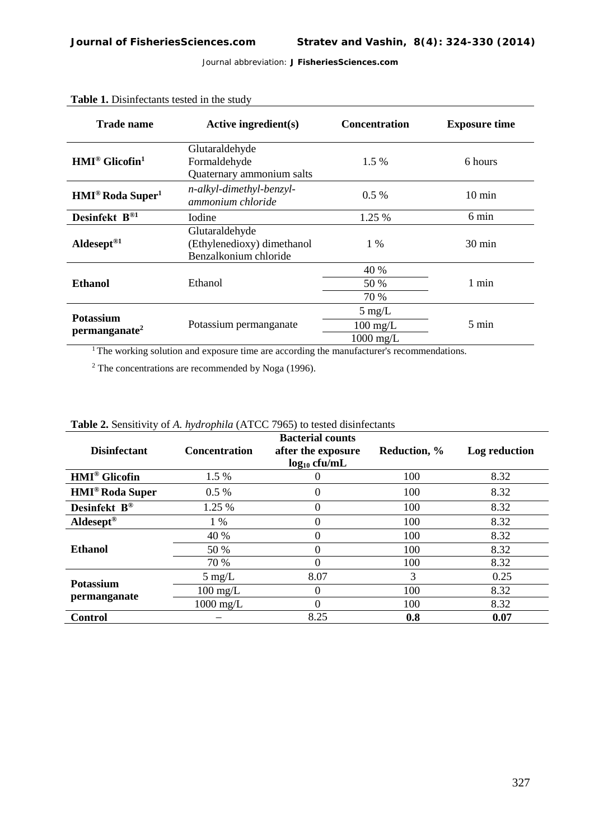| Trade name                                    | Active ingredient(s)                                                  | <b>Concentration</b> | <b>Exposure time</b> |  |
|-----------------------------------------------|-----------------------------------------------------------------------|----------------------|----------------------|--|
| $HMI^{\circledR}$ Glicofin <sup>1</sup>       | Glutaraldehyde<br>Formaldehyde<br>Quaternary ammonium salts           | $1.5\%$              | 6 hours              |  |
| <b>HMI<sup>®</sup> Roda Super<sup>1</sup></b> | n-alkyl-dimethyl-benzyl-<br>ammonium chloride                         | $0.5\%$              | $10 \text{ min}$     |  |
| Desinfekt B®1                                 | <b>I</b> odine                                                        | 1.25 %               | 6 min                |  |
| Aldesept <sup>®1</sup>                        | Glutaraldehyde<br>(Ethylenedioxy) dimethanol<br>Benzalkonium chloride | $1\%$                | $30 \text{ min}$     |  |
| <b>Ethanol</b>                                |                                                                       | 40 %                 | 1 min                |  |
|                                               | Ethanol                                                               | 50 %                 |                      |  |
|                                               |                                                                       | 70 %                 |                      |  |
| <b>Potassium</b><br>permanganate <sup>2</sup> |                                                                       | $5 \text{ mg/L}$     |                      |  |
|                                               | Potassium permanganate                                                | $100 \text{ mg/L}$   | 5 min                |  |
|                                               |                                                                       | $1000$ mg/L          |                      |  |

#### **Table 1.** Disinfectants tested in the study

<sup>1</sup>The working solution and exposure time are according the manufacturer's recommendations.

<sup>2</sup> The concentrations are recommended by Noga (1996).

| <b>Disinfectant</b>               | <b>Concentration</b> | <b>Bacterial counts</b><br>after the exposure<br>$log_{10}$ cfu/mL | Reduction, % | Log reduction |
|-----------------------------------|----------------------|--------------------------------------------------------------------|--------------|---------------|
| <b>HMI<sup>®</sup></b> Glicofin   | 1.5 %                |                                                                    | 100          | 8.32          |
| <b>HMI<sup>®</sup> Roda Super</b> | $0.5\%$              | O                                                                  | 100          | 8.32          |
| Desinfekt $B^{\circledR}$         | 1.25 %               | 0                                                                  | 100          | 8.32          |
| $Aldesept^{\otimes}$              | $1\%$                |                                                                    | 100          | 8.32          |
| <b>Ethanol</b>                    | 40 %                 |                                                                    | 100          | 8.32          |
|                                   | 50 %                 |                                                                    | 100          | 8.32          |
|                                   | 70 %                 |                                                                    | 100          | 8.32          |
| <b>Potassium</b><br>permanganate  | $5 \text{ mg/L}$     | 8.07                                                               | 3            | 0.25          |
|                                   | $100 \text{ mg/L}$   |                                                                    | 100          | 8.32          |
|                                   | $1000$ mg/L          |                                                                    | 100          | 8.32          |
| Control                           |                      | 8.25                                                               | 0.8          | 0.07          |

#### **Table 2.** Sensitivity of *A. hydrophila* (ATCC 7965) to tested disinfectants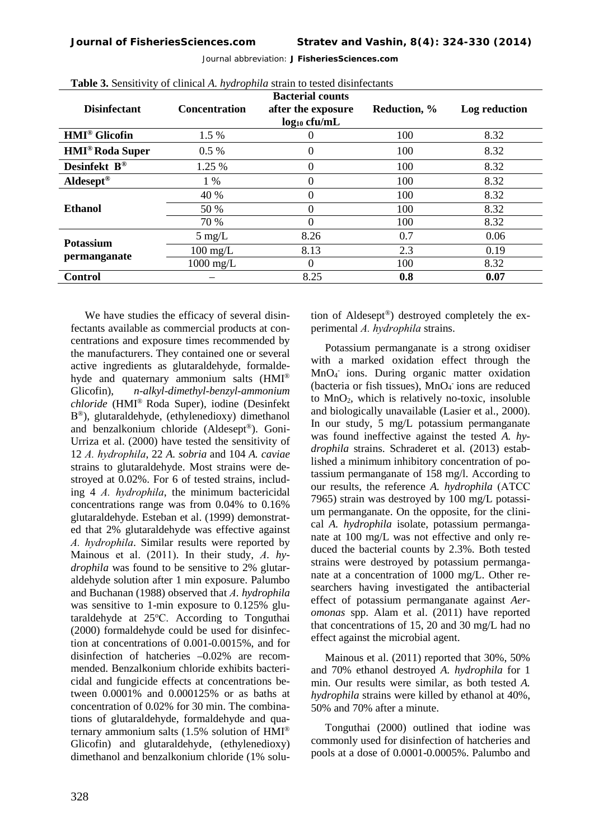| <b>Disinfectant</b>               | <b>Concentration</b> | <b>Bacterial counts</b><br>after the exposure<br>$log_{10}$ cfu/mL | <b>Reduction</b> , % | Log reduction |
|-----------------------------------|----------------------|--------------------------------------------------------------------|----------------------|---------------|
| <b>HMI<sup>®</sup></b> Glicofin   | 1.5 %                |                                                                    | 100                  | 8.32          |
| <b>HMI<sup>®</sup> Roda Super</b> | $0.5\%$              | $\theta$                                                           | 100                  | 8.32          |
| Desinfekt $B^{\circledR}$         | 1.25 %               | 0                                                                  | 100                  | 8.32          |
| Aldesept <sup>®</sup>             | $1\%$                | 0                                                                  | 100                  | 8.32          |
| Ethanol                           | 40 %                 | $\theta$                                                           | 100                  | 8.32          |
|                                   | 50 %                 |                                                                    | 100                  | 8.32          |
|                                   | 70 %                 |                                                                    | 100                  | 8.32          |
| Potassium<br>permanganate         | $5 \text{ mg/L}$     | 8.26                                                               | 0.7                  | 0.06          |
|                                   | $100 \text{ mg/L}$   | 8.13                                                               | 2.3                  | 0.19          |
|                                   | $1000 \text{ mg/L}$  | 0                                                                  | 100                  | 8.32          |
| <b>Control</b>                    |                      | 8.25                                                               | 0.8                  | 0.07          |

**Table 3.** Sensitivity of clinical *A. hydrophila* strain to tested disinfectants

We have studies the efficacy of several disinfectants available as commercial products at concentrations and exposure times recommended by the manufacturers. They contained one or several active ingredients as glutaraldehyde, formaldehyde and quaternary ammonium salts (HMI® Glicofin), *n-alkyl-dimethyl-benzyl-ammonium chloride* (HMI® Roda Super), iodine (Desinfekt В®), glutaraldehyde, (ethylenedioxy) dimethanol and benzalkonium chloride (Aldesept®). Goni-Urriza et al. (2000) have tested the sensitivity of 12 *А. hydrophila*, 22 *A. sobria* and 104 *A. caviae* strains to glutaraldehyde. Most strains were destroyed at 0.02%. For 6 of tested strains, including 4 *А. hydrophila*, the minimum bactericidal concentrations range was from 0.04% to 0.16% glutaraldehyde. Esteban et al. (1999) demonstrated that 2% glutaraldehyde was effective against *А. hydrophila*. Similar results were reported by Мainous et al. (2011). In their study, *А. hydrophila* was found to be sensitive to 2% glutaraldehyde solution after 1 min exposure. Palumbo and Buchanan (1988) observed that *А. hydrophila* was sensitive to 1-min exposure to 0.125% glutaraldehyde at 25°C. According to Tonguthai (2000) formaldehyde could be used for disinfection at concentrations of 0.001-0.0015%, and for disinfection of hatcheries –0.02% are recommended. Benzalkonium chloride exhibits bactericidal and fungicide effects at concentrations between 0.0001% and 0.000125% or as baths at concentration of 0.02% for 30 min. The combinations of glutaraldehyde, formaldehyde and quaternary ammonium salts (1.5% solution of HMI® Glicofin) and glutaraldehyde, (ethylenedioxy) dimethanol and benzalkonium chloride (1% solution of Aldesept®) destroyed completely the experimental *А. hydrophila* strains.

Potassium permanganate is a strong oxidiser with a marked oxidation effect through the MnO4 - ions. During organic matter oxidation (bacteria or fish tissues), MnO<sub>4</sub> ions are reduced to  $MnO<sub>2</sub>$ , which is relatively no-toxic, insoluble and biologically unavailable (Lasier et al., 2000). In our study, 5 mg/L potassium permanganate was found ineffective against the tested *A. hydrophila* strains. Schraderet et al. (2013) established a minimum inhibitory concentration of potassium permanganate of 158 mg/l. According to our results, the reference *A. hydrophila* (АТСС 7965) strain was destroyed by 100 mg/L potassium permanganate. On the opposite, for the clinical *A. hydrophila* isolate, potassium permanganate at 100 mg/L was not effective and only reduced the bacterial counts by 2.3%. Both tested strains were destroyed by potassium permanganate at a concentration of 1000 mg/L. Other researchers having investigated the antibacterial effect of potassium permanganate against *Aeromonas* spp. Alam et al. (2011) have reported that concentrations of 15, 20 and 30 mg/L had no effect against the microbial agent.

Mainous et al. (2011) reported that 30%, 50% and 70% ethanol destroyed *A. hydrophila* for 1 min. Our results were similar, as both tested *A. hydrophila* strains were killed by ethanol at 40%, 50% and 70% after a minute.

Tonguthai (2000) outlined that iodine was commonly used for disinfection of hatcheries and pools at a dose of 0.0001-0.0005%. Palumbo and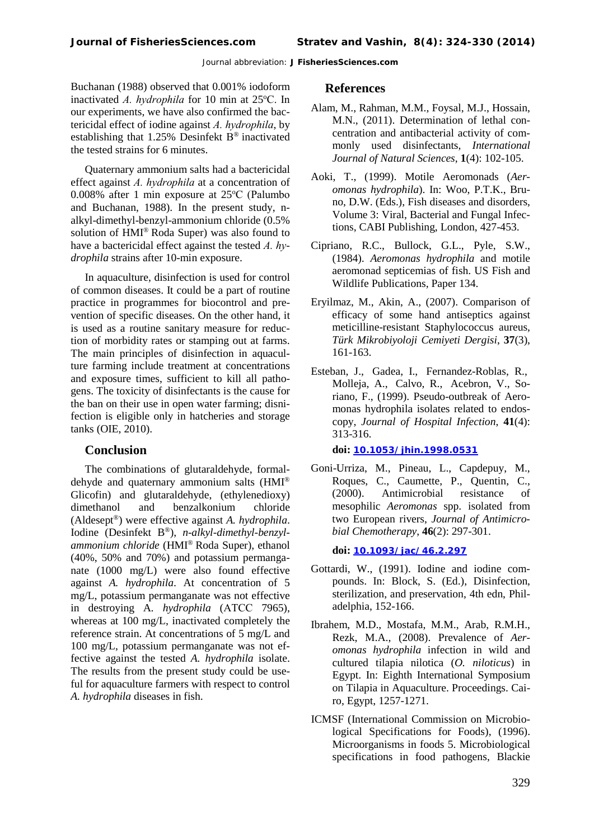Buchanan (1988) observed that 0.001% iodoform inactivated *A. hydrophila* for 10 min at 25°C. In our experiments, we have also confirmed the bactericidal effect of iodine against *А. hydrophila*, by establishing that 1.25% Desinfekt В® inactivated the tested strains for 6 minutes.

Quaternary ammonium salts had a bactericidal effect against *А. hydrophila* at a concentration of 0.008% after 1 min exposure at 25°C (Palumbo and Buchanan, 1988). In the present study, nalkyl-dimethyl-benzyl-ammonium chloride (0.5% solution of HMI® Roda Super) was also found to have a bactericidal effect against the tested *А. hydrophila* strains after 10-min exposure.

In aquaculture, disinfection is used for control of common diseases. It could be a part of routine practice in programmes for biocontrol and prevention of specific diseases. On the other hand, it is used as a routine sanitary measure for reduction of morbidity rates or stamping out at farms. The main principles of disinfection in aquaculture farming include treatment at concentrations and exposure times, sufficient to kill all pathogens. The toxicity of disinfectants is the cause for the ban on their use in open water farming; disnifection is eligible only in hatcheries and storage tanks (OIE, 2010).

#### **Conclusion**

The combinations of glutaraldehyde, formaldehyde and quaternary ammonium salts (HMI® Glicofin) and glutaraldehyde, (ethylenedioxy) dimethanol and benzalkonium chloride (Aldesept®) were effective against *A. hydrophila*. Iodine (Desinfekt B®), *n-alkyl-dimethyl-benzylammonium chloride* (HMI® Roda Super), ethanol (40%, 50% and 70%) and potassium permanganate (1000 mg/L) were also found effective against *A. hydrophila*. At concentration of 5 mg/L, potassium permanganate was not effective in destroying A*. hydrophila* (АTCC 7965), whereas at 100 mg/L, inactivated completely the reference strain. At concentrations of 5 mg/L and 100 mg/L, potassium permanganate was not effective against the tested *A. hydrophila* isolate. The results from the present study could be useful for aquaculture farmers with respect to control *A. hydrophila* diseases in fish.

#### **References**

- Alam, M., Rahman, M.M., Foysal, M.J., Hossain, M.N., (2011). Determination of lethal concentration and antibacterial activity of commonly used disinfectants, *International Journal of Natural Sciences*, **1**(4): 102-105.
- Aoki, T., (1999). Motile Aeromonads (*Aeromonas hydrophila*). In: Woo, P.T.K., Bruno, D.W. (Eds.), Fish diseases and disorders, Volume 3: Viral, Bacterial and Fungal Infections, CABI Publishing, London, 427-453.
- Cipriano, R.C., Bullock, G.L., Pyle, S.W., (1984). *Aeromonas hydrophila* and motile aeromonad septicemias of fish. US Fish and Wildlife Publications, Paper 134.
- Eryilmaz, M., Akin, A., (2007). Comparison of efficacy of some hand antiseptics against meticilline-resistant Staphylococcus aureus, *Türk Mikrobiyoloji Cemiyeti Dergisi*, **37**(3), 161-163.
- [Esteban,](http://www.ncbi.nlm.nih.gov/pubmed?term=Esteban%20J%5BAuthor%5D&cauthor=true&cauthor_uid=10392337) J., [Gadea,](http://www.ncbi.nlm.nih.gov/pubmed?term=Gadea%20I%5BAuthor%5D&cauthor=true&cauthor_uid=10392337) I., [Fernandez-Roblas,](http://www.ncbi.nlm.nih.gov/pubmed?term=Fern%C3%A4ndez-Roblas%20R%5BAuthor%5D&cauthor=true&cauthor_uid=10392337) R., [Molleja,](http://www.ncbi.nlm.nih.gov/pubmed?term=Molleja%20A%5BAuthor%5D&cauthor=true&cauthor_uid=10392337) A., [Calvo,](http://www.ncbi.nlm.nih.gov/pubmed?term=Calvo%20R%5BAuthor%5D&cauthor=true&cauthor_uid=10392337) R., [Acebron, V.,](http://www.ncbi.nlm.nih.gov/pubmed?term=Acebr%C3%B3n%20V%5BAuthor%5D&cauthor=true&cauthor_uid=10392337) [So](http://www.ncbi.nlm.nih.gov/pubmed?term=Acebr%C3%B3n%20V%5BAuthor%5D&cauthor=true&cauthor_uid=10392337)[riano,](http://www.ncbi.nlm.nih.gov/pubmed?term=Soriano%20F%5BAuthor%5D&cauthor=true&cauthor_uid=10392337) F., (1999). Pseudo-outbreak of Aeromonas hydrophila isolates related to endoscopy, *[Journal of Hospital](http://www.ncbi.nlm.nih.gov/pubmed/10392337) Infection*, **41**(4): 313-316.

**doi: [10.1053/jhin.1998.0531](http://dx.doi.org/10.1053/jhin.1998.0531)**

Goni-Urriza, M., Pineau, L., Capdepuy, M., Roques, C., Caumette, P., Quentin, C., (2000). Antimicrobial resistance of mesophilic *Aeromonas* spp. isolated from two European rivers, *Journal of Antimicrobial Chemotherapy*, **46**(2): 297-301.

**doi: [10.1093/jac/46.2.297](http://dx.doi.org/10.1093/jac/46.2.297)**

- Gottardi, W., (1991). Iodine and iodine compounds. In: Block, S. (Ed.), Disinfection, sterilization, and preservation, 4th edn, Philadelphia, 152-166.
- [Ibrahem,](http://cabdirect.org/search.html?q=au%3A%22Ibrahem%2C+M.+D.%22) M.D., [Mostafa,](http://cabdirect.org/search.html?q=au%3A%22Mostafa%2C+M.+M.%22) M.M., [Arab,](http://cabdirect.org/search.html?q=au%3A%22Mostafa%2C+M.+M.%22) R.M.H., Rezk, [M.A., \(2](http://cabdirect.org/search.html?q=au%3A%22Rezk%2C+M.+A.%22)008). Prevalence of *Aeromonas hydrophila* infection in wild and cultured tilapia nilotica (*O. niloticus*) in Egypt. In: Eighth International Symposium on Tilapia in Aquaculture. Proceedings. Cairo, Egypt, 1257-1271.
- ICMSF (International Commission on Microbiological Specifications for Foods), (1996). Microorganisms in foods 5. Microbiological specifications in food pathogens, Blackie